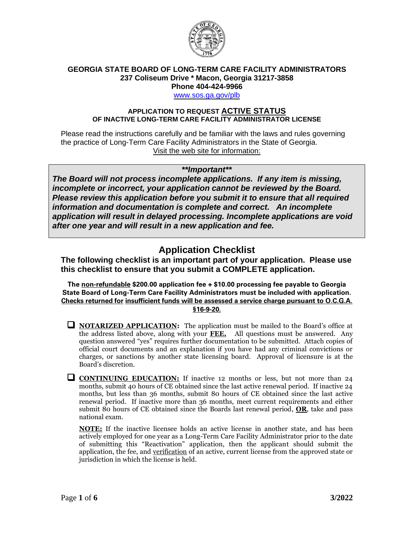

### **GEORGIA STATE BOARD OF LONG-TERM CARE FACILITY ADMINISTRATORS 237 Coliseum Drive \* Macon, Georgia 31217-3858 Phone 404-424-9966**

[www.sos.ga.gov/plb](http://www.sos.ga.gov/plb)

#### **APPLICATION TO REQUEST ACTIVE STATUS OF INACTIVE LONG-TERM CARE FACILITY ADMINISTRATOR LICENSE**

Please read the instructions carefully and be familiar with the laws and rules governing the practice of Long-Term Care Facility Administrators in the State of Georgia. Visit the web site for information:

### *\*\*Important\*\**

*The Board will not process incomplete applications. If any item is missing, incomplete or incorrect, your application cannot be reviewed by the Board. Please review this application before you submit it to ensure that all required information and documentation is complete and correct. An incomplete application will result in delayed processing. Incomplete applications are void after one year and will result in a new application and fee.*

# **Application Checklist**

**The following checklist is an important part of your application. Please use this checklist to ensure that you submit a COMPLETE application.**

The **non-refundable \$200.00** application fee + \$10.00 processing fee payable to **Georgia State Board of Long-Term Care Facility Administrators** must be included with application. **Checks returned for insufficient funds will be assessed a service charge pursuant to O.C.G.A. §16-9-20.**

- ❑ **NOTARIZED APPLICATION:** The application must be mailed to the Board's office at the address listed above, along with your **FEE.** All questions must be answered. Any question answered "yes" requires further documentation to be submitted. Attach copies of official court documents and an explanation if you have had any criminal convictions or charges, or sanctions by another state licensing board. Approval of licensure is at the Board's discretion.
- **CONTINUING EDUCATION:** If inactive 12 months or less, but not more than 24 months, submit 40 hours of CE obtained since the last active renewal period. If inactive 24 months, but less than 36 months, submit 80 hours of CE obtained since the last active renewal period. If inactive more than 36 months, meet current requirements and either submit 80 hours of CE obtained since the Boards last renewal period, **OR**, take and pass national exam.

**NOTE:** If the inactive licensee holds an active license in another state, and has been actively employed for one year as a Long-Term Care Facility Administrator prior to the date of submitting this "Reactivation" application, then the applicant should submit the application, the fee, and verification of an active, current license from the approved state or jurisdiction in which the license is held.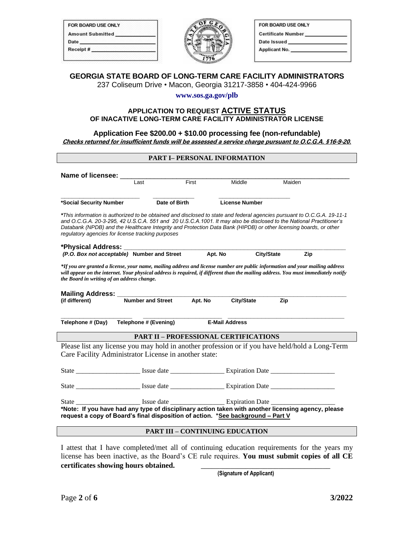| FOR BOARD USE ONLY      |  |
|-------------------------|--|
| <b>Amount Submitted</b> |  |
| Date                    |  |
| Receipt#                |  |
|                         |  |



| FOR BOARD USE ONLY        |  |
|---------------------------|--|
| <b>Certificate Number</b> |  |
| Date Issued               |  |
| <b>Applicant No.</b>      |  |

## **GEORGIA STATE BOARD OF LONG-TERM CARE FACILITY ADMINISTRATORS**

237 Coliseum Drive • Macon, Georgia 31217-3858 • 404-424-9966

#### **www.sos.ga.gov/plb**

#### **APPLICATION TO REQUEST ACTIVE STATUS OF INACATIVE LONG-TERM CARE FACILITY ADMINISTRATOR LICENSE**

#### **Application Fee \$200.00 + \$10.00 processing fee (non-refundable) Checks returned for insufficient funds will be assessed a service charge pursuant to O.C.G.A. §16-9-20.**

# **PART I– PERSONAL INFORMATION Name of licensee:** \_\_\_\_\_\_\_\_\_\_\_\_\_\_\_\_\_\_\_\_\_\_\_\_\_\_\_\_\_\_\_\_\_\_\_\_\_\_\_\_\_\_\_\_\_\_\_\_\_\_\_\_\_\_\_\_\_\_\_\_\_ Maiden **\_\_\_\_\_\_\_\_\_\_\_\_\_\_\_\_\_\_\_\_\_ \_\_\_\_\_\_\_\_\_\_\_ \_\_\_\_\_\_\_\_\_\_\_\_\_\_\_\_\_\_\_ \*Social Security Number Date of Birth License Number** *\*This information is authorized to be obtained and disclosed to state and federal agencies pursuant to O.C.G.A. 19-11-1 and O.C.G.A. 20-3-295, 42 U.S.C.A. 551 and 20 U.S.C.A.1001. It may also be disclosed to the National Practitioner's*  Databank (NPDB) and the Healthcare Integrity and Protection Data Bank (HIPDB) or other licensing boards, or other *regulatory agencies for license tracking purposes* **\*Physical Address: \_\_\_\_\_\_\_\_\_\_\_\_\_\_\_\_\_\_\_\_\_\_\_\_\_\_\_\_\_\_\_\_\_\_\_\_\_\_\_\_\_\_\_\_\_\_\_\_\_\_\_\_\_\_\_\_\_\_\_** *(P.O. Box not acceptable)* **Number and Street Apt. No City/State Zip** *\*If you are granted a license, your name, mailing address and license number are public information and your mailing address will appear on the internet. Your physical address is required, if different than the mailing address. You must immediately notify the Board in writing of an address change.* **Mailing Address: \_\_\_\_\_\_\_\_\_\_\_\_\_\_\_\_\_\_\_\_\_\_\_\_\_\_\_\_\_\_\_\_\_\_\_\_\_\_\_\_\_\_\_\_\_\_\_\_\_\_\_\_\_\_\_\_\_\_\_\_\_ Number and Street \_\_\_\_\_\_\_\_\_\_\_\_\_\_\_\_\_\_\_ \_\_\_\_\_\_\_\_\_\_\_\_\_\_\_\_\_\_\_\_\_ \_\_\_\_\_\_\_\_\_\_\_\_\_\_\_\_\_\_\_\_\_\_\_\_\_\_\_\_\_\_\_ Telephone # (Day) Telephone # (Evening) E-Mail Address PART II – PROFESSIONAL CERTIFICATIONS** Please list any license you may hold in another profession or if you have held/hold a Long-Term Care Facility Administrator License in another state: State \_\_\_\_\_\_\_\_\_\_\_\_\_\_\_\_\_\_\_ Issue date \_\_\_\_\_\_\_\_\_\_\_\_\_\_\_\_ Expiration Date \_\_\_\_\_\_\_\_\_\_\_\_\_\_\_\_\_\_\_ State \_\_\_\_\_\_\_\_\_\_\_\_\_\_\_\_\_\_\_ Issue date \_\_\_\_\_\_\_\_\_\_\_\_\_\_\_\_ Expiration Date \_\_\_\_\_\_\_\_\_\_\_\_\_\_\_\_\_\_\_

State \_\_\_\_\_\_\_\_\_\_\_\_\_\_\_\_\_\_\_ Issue date \_\_\_\_\_\_\_\_\_\_\_\_\_\_\_\_ Expiration Date \_\_\_\_\_\_\_\_\_\_\_\_\_\_\_\_\_\_\_ **\*Note: If you have had any type of disciplinary action taken with another licensing agency, please request a copy of Board's final disposition of action. \*See background – Part V**

#### **PART III – CONTINUING EDUCATION**

I attest that I have completed/met all of continuing education requirements for the years my license has been inactive, as the Board's CE rule requires. **You must submit copies of all CE certificates showing hours obtained.** \_\_\_\_\_\_\_\_\_\_\_\_\_\_\_\_\_\_\_\_\_\_\_\_\_\_\_\_\_\_\_\_\_\_\_

 **(Signature of Applicant)**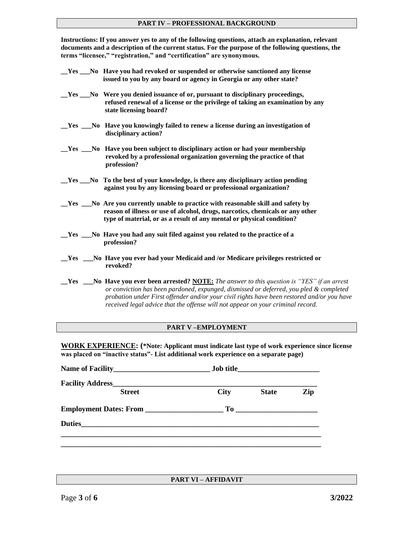#### **PART IV – PROFESSIONAL BACKGROUND**

**Instructions: If you answer yes to any of the following questions, attach an explanation, relevant documents and a description of the current status. For the purpose of the following questions, the terms "licensee," "registration," and "certification" are synonymous.**

| Yes | No Have you had revoked or suspended or otherwise sanctioned any license |  |
|-----|--------------------------------------------------------------------------|--|
|     | issued to you by any board or agency in Georgia or any other state?      |  |

- **\_\_Yes \_\_\_No Were you denied issuance of or, pursuant to disciplinary proceedings, refused renewal of a license or the privilege of taking an examination by any state licensing board?**
- **\_\_Yes \_\_\_No Have you knowingly failed to renew a license during an investigation of disciplinary action?**
- **\_\_Yes \_\_\_No Have you been subject to disciplinary action or had your membership revoked by a professional organization governing the practice of that profession?**
- **\_\_Yes \_\_\_No To the best of your knowledge, is there any disciplinary action pending against you by any licensing board or professional organization?**
- **\_\_Yes \_\_\_No Are you currently unable to practice with reasonable skill and safety by reason of illness or use of alcohol, drugs, narcotics, chemicals or any other type of material, or as a result of any mental or physical condition?**
- **\_\_Yes \_\_\_No Have you had any suit filed against you related to the practice of a profession?**
- **\_\_Yes \_\_\_No Have you ever had your Medicaid and /or Medicare privileges restricted or revoked?**
- **\_\_Yes \_\_\_No Have you ever been arrested? NOTE:** *The answer to this question is "YES" if an arrest or conviction has been pardoned, expunged, dismissed or deferred, you pled & completed probation under First offender and/or your civil rights have been restored and/or you have received legal advice that the offense will not appear on your criminal record.*

#### **PART V –EMPLOYMENT**

**WORK EXPERIENCE: (\*Note: Applicant must indicate last type of work experience since license was placed on "inactive status"- List additional work experience on a separate page)**

| <b>Street</b> | <b>City</b> | <b>State</b> | Zip |
|---------------|-------------|--------------|-----|
|               |             |              |     |
|               |             |              |     |
|               |             |              |     |
|               |             |              |     |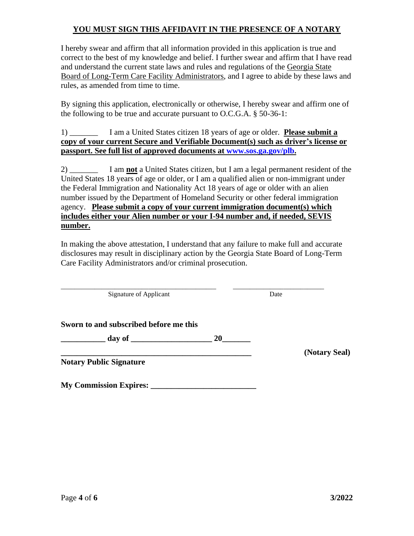### **YOU MUST SIGN THIS AFFIDAVIT IN THE PRESENCE OF A NOTARY**

I hereby swear and affirm that all information provided in this application is true and correct to the best of my knowledge and belief. I further swear and affirm that I have read and understand the current state laws and rules and regulations of the Georgia State Board of Long-Term Care Facility Administrators, and I agree to abide by these laws and rules, as amended from time to time.

By signing this application, electronically or otherwise, I hereby swear and affirm one of the following to be true and accurate pursuant to O.C.G.A. § 50-36-1:

1) \_\_\_\_\_\_\_ I am a United States citizen 18 years of age or older. **Please submit a copy of your current Secure and Verifiable Document(s) such as driver's license or passport. See full list of approved documents at [www.sos.ga.gov/plb.](http://www.sos.ga.gov/plb)**

2) \_\_\_\_\_\_\_ I am **not** a United States citizen, but I am a legal permanent resident of the United States 18 years of age or older, or I am a qualified alien or non-immigrant under the Federal Immigration and Nationality Act 18 years of age or older with an alien number issued by the Department of Homeland Security or other federal immigration agency. **Please submit a copy of your current immigration document(s) which includes either your Alien number or your I-94 number and, if needed, SEVIS number.**

In making the above attestation, I understand that any failure to make full and accurate disclosures may result in disciplinary action by the Georgia State Board of Long-Term Care Facility Administrators and/or criminal prosecution.

**\_\_\_\_\_\_\_\_\_\_\_\_\_\_\_\_\_\_\_\_\_\_\_\_\_\_\_\_\_\_\_\_\_\_\_\_\_\_\_\_\_\_\_\_\_\_ \_\_\_\_\_\_\_\_\_\_\_\_\_\_\_\_\_\_\_\_\_\_\_\_\_\_\_**  Signature of Applicant Date

**Sworn to and subscribed before me this**

 $\frac{day \text{ of }$ 

**Notary Public Signature**

**My Commission Expires:** 

**\_\_\_\_\_\_\_\_\_\_\_\_\_\_\_\_\_\_\_\_\_\_\_\_\_\_\_\_\_\_\_\_\_\_\_\_\_\_\_\_\_\_\_\_\_\_\_ (Notary Seal)**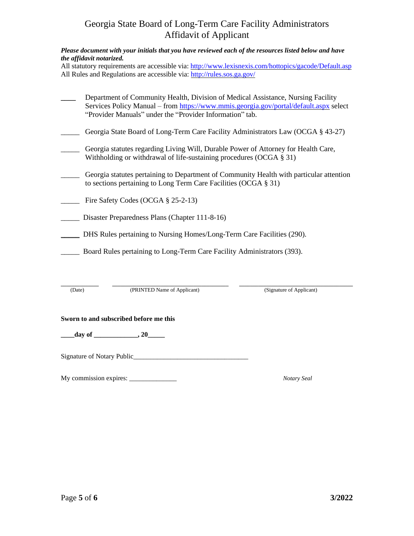# Georgia State Board of Long-Term Care Facility Administrators Affidavit of Applicant

#### *Please document with your initials that you have reviewed each of the resources listed below and have the affidavit notarized.*

All statutory requirements are accessible via:<http://www.lexisnexis.com/hottopics/gacode/Default.asp> All Rules and Regulations are accessible via:<http://rules.sos.ga.gov/>

| Department of Community Health, Division of Medical Assistance, Nursing Facility<br>Services Policy Manual – from https://www.mmis.georgia.gov/portal/default.aspx select<br>"Provider Manuals" under the "Provider Information" tab. |
|---------------------------------------------------------------------------------------------------------------------------------------------------------------------------------------------------------------------------------------|
| Georgia State Board of Long-Term Care Facility Administrators Law (OCGA § 43-27)                                                                                                                                                      |
| Georgia statutes regarding Living Will, Durable Power of Attorney for Health Care,                                                                                                                                                    |

\_\_\_\_\_ Georgia statutes pertaining to Department of Community Health with particular attention to sections pertaining to Long Term Care Facilities (OCGA § 31)

Withholding or withdrawal of life-sustaining procedures (OCGA § 31)

- Fire Safety Codes (OCGA § 25-2-13)
- \_\_\_\_\_ Disaster Preparedness Plans (Chapter 111-8-16)
- \_\_\_\_\_ DHS Rules pertaining to Nursing Homes/Long-Term Care Facilities (290).
- \_\_\_\_\_ Board Rules pertaining to Long-Term Care Facility Administrators (393).

| Date) | (PRINTED Name of Applicant) | (Signature of Applicant) |
|-------|-----------------------------|--------------------------|

(PRINTED Name of Applicant) (Signature of Applicant)

#### **Sworn to and subscribed before me this**

**\_\_\_\_day of \_\_\_\_\_\_\_\_\_\_\_\_\_, 20\_\_\_\_\_**

Signature of Notary Public\_\_\_\_\_\_\_\_\_\_\_\_\_\_\_\_\_\_\_\_\_\_\_\_\_\_\_\_\_\_\_\_\_\_

My commission expires: \_\_\_\_\_\_\_\_\_\_\_\_\_\_ *Notary Seal*